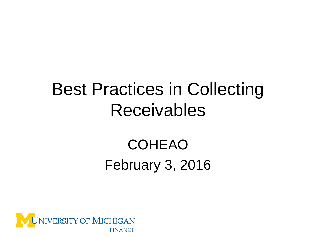#### Best Practices in Collecting Receivables

#### **COHEAO** February 3, 2016

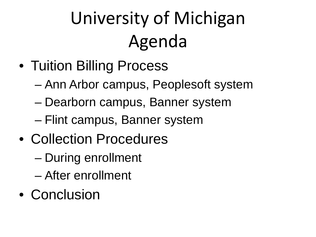# University of Michigan Agenda

- Tuition Billing Process
	- Ann Arbor campus, Peoplesoft system
	- Dearborn campus, Banner system
	- Flint campus, Banner system
- Collection Procedures
	- During enrollment
	- After enrollment
- Conclusion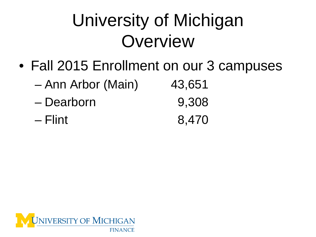### University of Michigan **Overview**

- Fall 2015 Enrollment on our 3 campuses
	- Ann Arbor (Main) 43,651
	- Dearborn 9,308
	- $-$  Flint 8,470

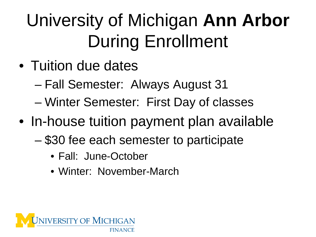- Tuition due dates
	- Fall Semester: Always August 31
	- Winter Semester: First Day of classes
- In-house tuition payment plan available
	- \$30 fee each semester to participate
		- Fall: June-October
		- Winter: November-March

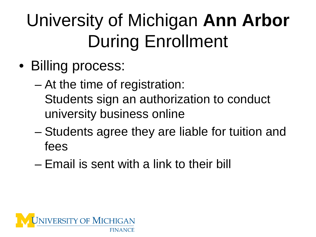- Billing process:
	- At the time of registration: Students sign an authorization to conduct university business online
	- Students agree they are liable for tuition and fees
	- Email is sent with a link to their bill

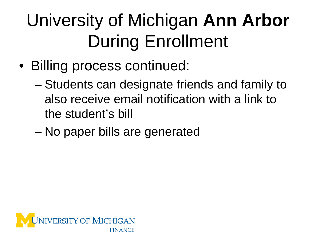- Billing process continued:
	- Students can designate friends and family to also receive email notification with a link to the student's bill
	- No paper bills are generated

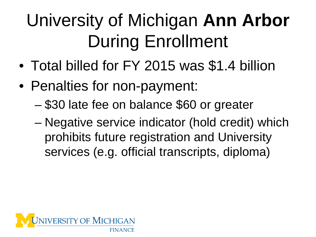- Total billed for FY 2015 was \$1.4 billion
- Penalties for non-payment:
	- \$30 late fee on balance \$60 or greater
	- Negative service indicator (hold credit) which prohibits future registration and University services (e.g. official transcripts, diploma)

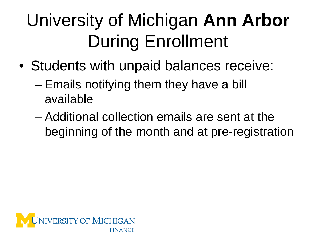- Students with unpaid balances receive:
	- Emails notifying them they have a bill available
	- Additional collection emails are sent at the beginning of the month and at pre-registration

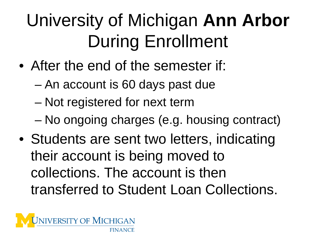- After the end of the semester if:
	- An account is 60 days past due
	- Not registered for next term
	- No ongoing charges (e.g. housing contract)
- Students are sent two letters, indicating their account is being moved to collections. The account is then transferred to Student Loan Collections.

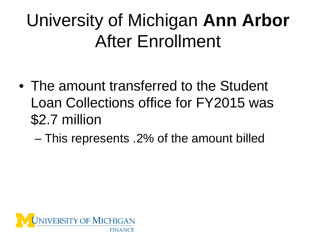- The amount transferred to the Student Loan Collections office for FY2015 was \$2.7 million
	- This represents .2% of the amount billed

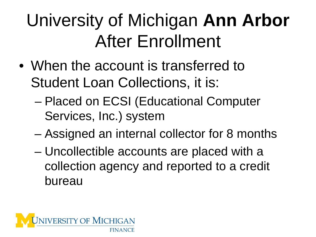- When the account is transferred to Student Loan Collections, it is:
	- Placed on ECSI (Educational Computer Services, Inc.) system
	- Assigned an internal collector for 8 months
	- Uncollectible accounts are placed with a collection agency and reported to a credit bureau

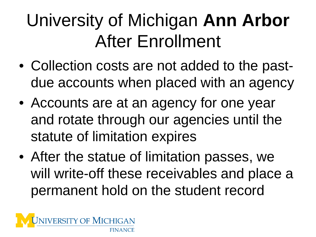- Collection costs are not added to the pastdue accounts when placed with an agency
- Accounts are at an agency for one year and rotate through our agencies until the statute of limitation expires
- After the statue of limitation passes, we will write-off these receivables and place a permanent hold on the student record

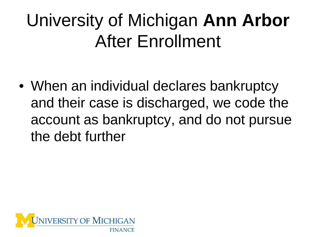• When an individual declares bankruptcy and their case is discharged, we code the account as bankruptcy, and do not pursue the debt further

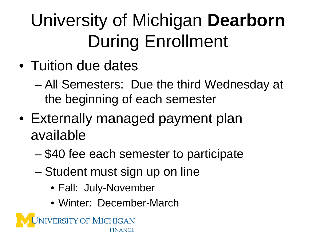• Tuition due dates

– All Semesters: Due the third Wednesday at the beginning of each semester

- Externally managed payment plan available
	- \$40 fee each semester to participate
	- Student must sign up on line
		- Fall: July-November
		- Winter: December-March

**ERSITY OF MICHIGAN FINANCE**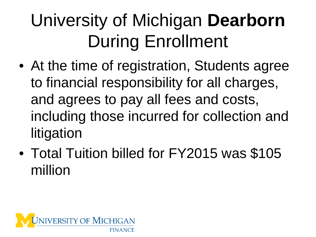- At the time of registration, Students agree to financial responsibility for all charges, and agrees to pay all fees and costs, including those incurred for collection and litigation
- Total Tuition billed for FY2015 was \$105 million

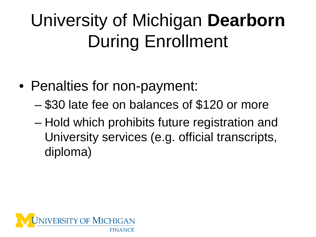- Penalties for non-payment:
	- \$30 late fee on balances of \$120 or more
	- Hold which prohibits future registration and University services (e.g. official transcripts, diploma)

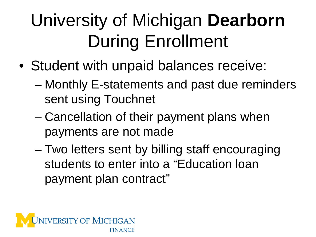- Student with unpaid balances receive:
	- Monthly E-statements and past due reminders sent using Touchnet
	- Cancellation of their payment plans when payments are not made
	- Two letters sent by billing staff encouraging students to enter into a "Education loan payment plan contract"

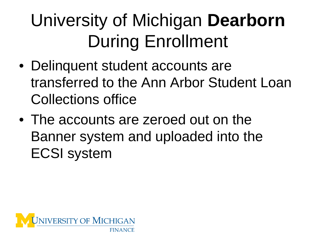- Delinquent student accounts are transferred to the Ann Arbor Student Loan Collections office
- The accounts are zeroed out on the Banner system and uploaded into the ECSI system

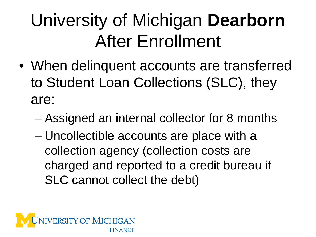- When delinquent accounts are transferred to Student Loan Collections (SLC), they are:
	- Assigned an internal collector for 8 months
	- Uncollectible accounts are place with a collection agency (collection costs are charged and reported to a credit bureau if SLC cannot collect the debt)

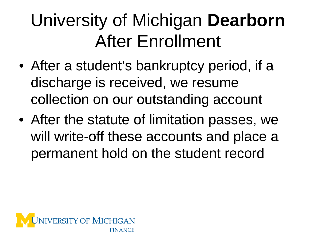- After a student's bankruptcy period, if a discharge is received, we resume collection on our outstanding account
- After the statute of limitation passes, we will write-off these accounts and place a permanent hold on the student record

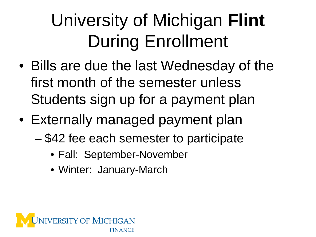# University of Michigan **Flint** During Enrollment

- Bills are due the last Wednesday of the first month of the semester unless Students sign up for a payment plan
- Externally managed payment plan
	- \$42 fee each semester to participate
		- Fall: September-November
		- Winter: January-March

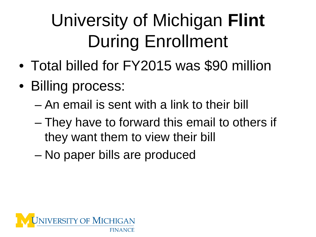# University of Michigan **Flint** During Enrollment

- Total billed for FY2015 was \$90 million
- Billing process:
	- An email is sent with a link to their bill
	- They have to forward this email to others if they want them to view their bill
	- No paper bills are produced

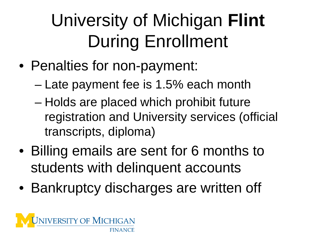# University of Michigan **Flint**  During Enrollment

- Penalties for non-payment:
	- Late payment fee is 1.5% each month
	- Holds are placed which prohibit future registration and University services (official transcripts, diploma)
- Billing emails are sent for 6 months to students with delinquent accounts
- Bankruptcy discharges are written off

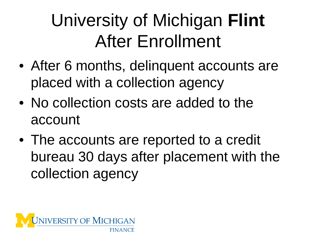## University of Michigan **Flint** After Enrollment

- After 6 months, delinquent accounts are placed with a collection agency
- No collection costs are added to the account
- The accounts are reported to a credit bureau 30 days after placement with the collection agency

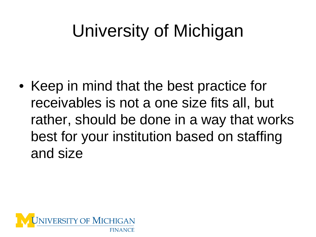#### University of Michigan

• Keep in mind that the best practice for receivables is not a one size fits all, but rather, should be done in a way that works best for your institution based on staffing and size

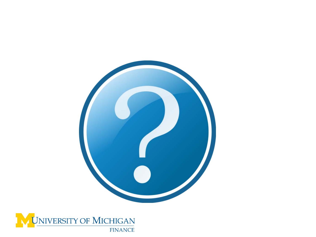